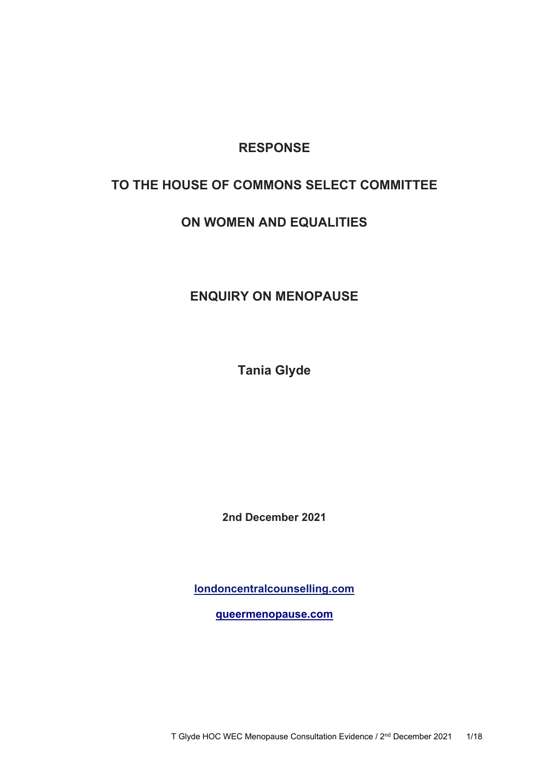## **RESPONSE**

# **TO THE HOUSE OF COMMONS SELECT COMMITTEE**

# **ON WOMEN AND EQUALITIES**

# **ENQUIRY ON MENOPAUSE**

**Tania Glyde**

**2nd December 2021**

**[londoncentralcounselling.com](https://londoncentralcounselling.com/)**

**queermenopause.com**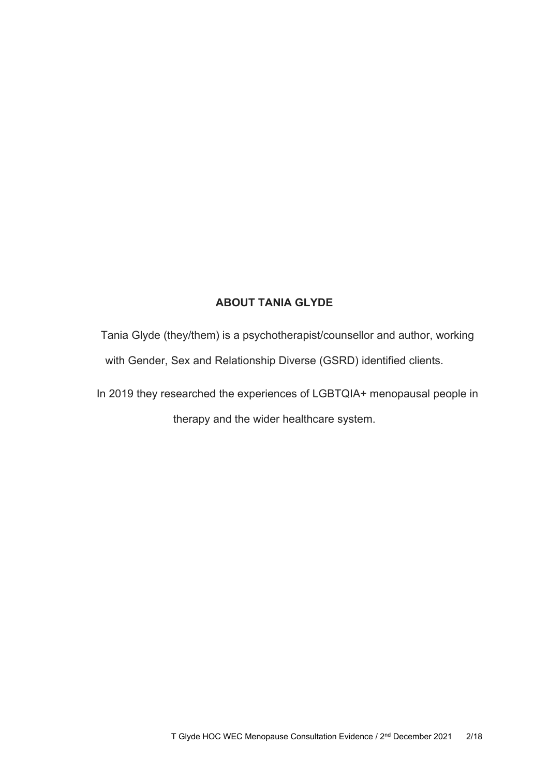## **ABOUT TANIA GLYDE**

Tania Glyde (they/them) is a psychotherapist/counsellor and author, working with Gender, Sex and Relationship Diverse (GSRD) identified clients.

In 2019 they researched the experiences of LGBTQIA+ menopausal people in therapy and the wider healthcare system.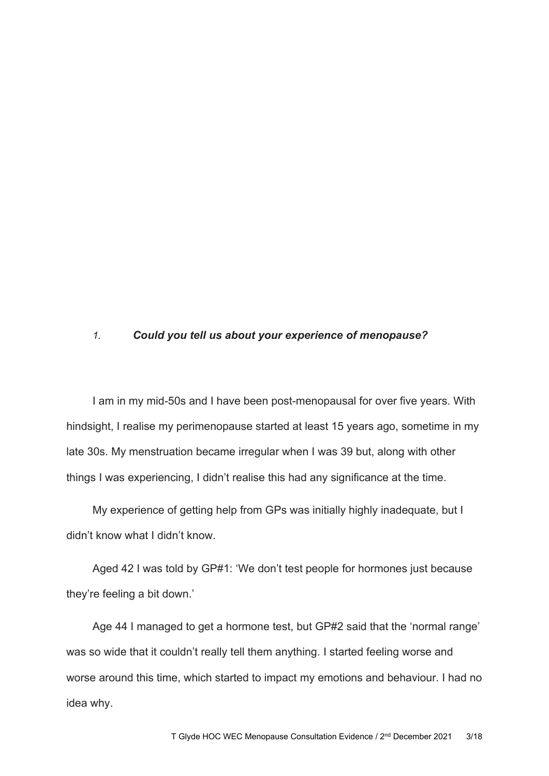### *1. Could you tell us about your experience of menopause?*

I am in my mid-50s and I have been post-menopausal for over five years. With hindsight, I realise my perimenopause started at least 15 years ago, sometime in my late 30s. My menstruation became irregular when I was 39 but, along with other things I was experiencing, I didn't realise this had any significance at the time.

My experience of getting help from GPs was initially highly inadequate, but I didn't know what I didn't know.

Aged 42 I was told by GP#1: 'We don't test people for hormones just because they're feeling a bit down.'

Age 44 I managed to get a hormone test, but GP#2 said that the 'normal range' was so wide that it couldn't really tell them anything. I started feeling worse and worse around this time, which started to impact my emotions and behaviour. I had no idea why.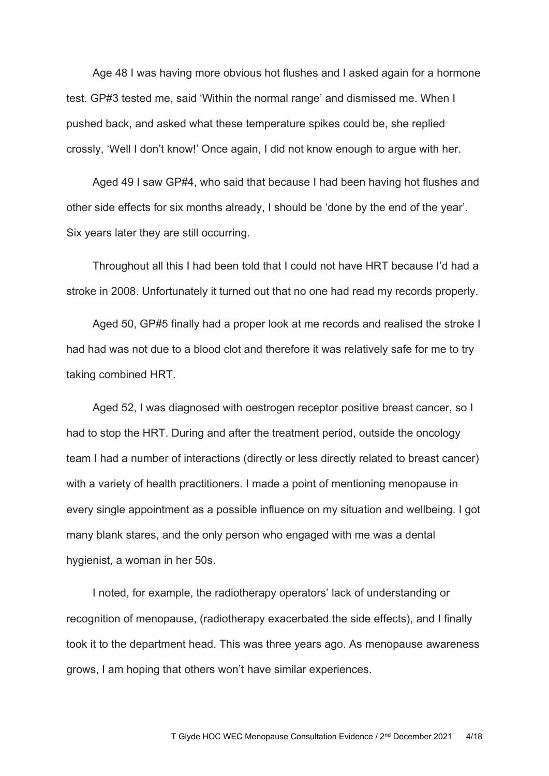Age 48 I was having more obvious hot flushes and I asked again for a hormone test. GP#3 tested me, said 'Within the normal range' and dismissed me. When I pushed back, and asked what these temperature spikes could be, she replied crossly, 'Well I don't know!' Once again, I did not know enough to argue with her.

Aged 49 I saw GP#4, who said that because I had been having hot flushes and other side effects for six months already, I should be 'done by the end of the year'. Six years later they are still occurring.

Throughout all this I had been told that I could not have HRT because I'd had a stroke in 2008. Unfortunately it turned out that no one had read my records properly.

Aged 50, GP#5 finally had a proper look at me records and realised the stroke I had had was not due to a blood clot and therefore it was relatively safe for me to try taking combined HRT.

Aged 52, I was diagnosed with oestrogen receptor positive breast cancer, so I had to stop the HRT. During and after the treatment period, outside the oncology team I had a number of interactions (directly or less directly related to breast cancer) with a variety of health practitioners. I made a point of mentioning menopause in every single appointment as a possible influence on my situation and wellbeing. I got many blank stares, and the only person who engaged with me was a dental hygienist, a woman in her 50s.

I noted, for example, the radiotherapy operators' lack of understanding or recognition of menopause, (radiotherapy exacerbated the side effects), and I finally took it to the department head. This was three years ago. As menopause awareness grows, I am hoping that others won't have similar experiences.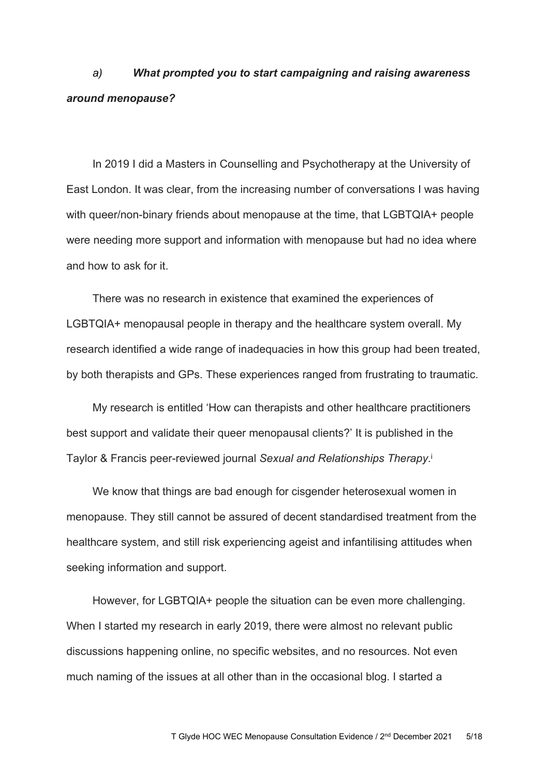# *a) What prompted you to start campaigning and raising awareness around menopause?*

In 2019 I did a Masters in Counselling and Psychotherapy at the University of East London. It was clear, from the increasing number of conversations I was having with queer/non-binary friends about menopause at the time, that LGBTQIA+ people were needing more support and information with menopause but had no idea where and how to ask for it.

There was no research in existence that examined the experiences of LGBTQIA+ menopausal people in therapy and the healthcare system overall. My research identified a wide range of inadequacies in how this group had been treated, by both therapists and GPs. These experiences ranged from frustrating to traumatic.

My research is entitled 'How can therapists and other healthcare practitioners best support and validate their queer menopausal clients?' It is published in the Taylor & Francis peer-reviewed journal *Sexual and Relationships Therapy*. i

We know that things are bad enough for cisgender heterosexual women in menopause. They still cannot be assured of decent standardised treatment from the healthcare system, and still risk experiencing ageist and infantilising attitudes when seeking information and support.

However, for LGBTQIA+ people the situation can be even more challenging. When I started my research in early 2019, there were almost no relevant public discussions happening online, no specific websites, and no resources. Not even much naming of the issues at all other than in the occasional blog. I started a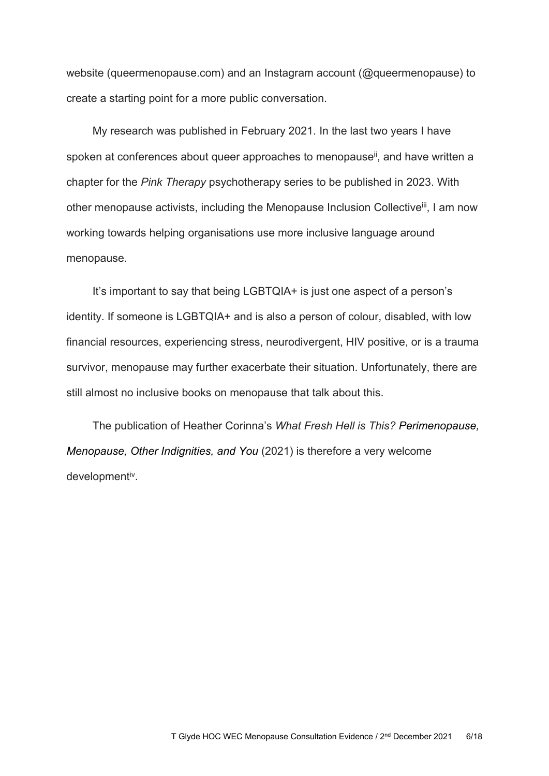website (queermenopause.com) and an Instagram account (@queermenopause) to create a starting point for a more public conversation.

My research was published in February 2021. In the last two years I have spoken at conferences about queer approaches to menopause<sup>ii</sup>, and have written a chapter for the *Pink Therapy* psychotherapy series to be published in 2023. With other menopause activists, including the Menopause Inclusion Collective<sup>iii</sup>, I am now working towards helping organisations use more inclusive language around menopause.

It's important to say that being LGBTQIA+ is just one aspect of a person's identity. If someone is LGBTQIA+ and is also a person of colour, disabled, with low financial resources, experiencing stress, neurodivergent, HIV positive, or is a trauma survivor, menopause may further exacerbate their situation. Unfortunately, there are still almost no inclusive books on menopause that talk about this.

The publication of Heather Corinna's *What Fresh Hell is This? Perimenopause, Menopause, Other Indignities, and You* (2021) is therefore a very welcome developmentiv.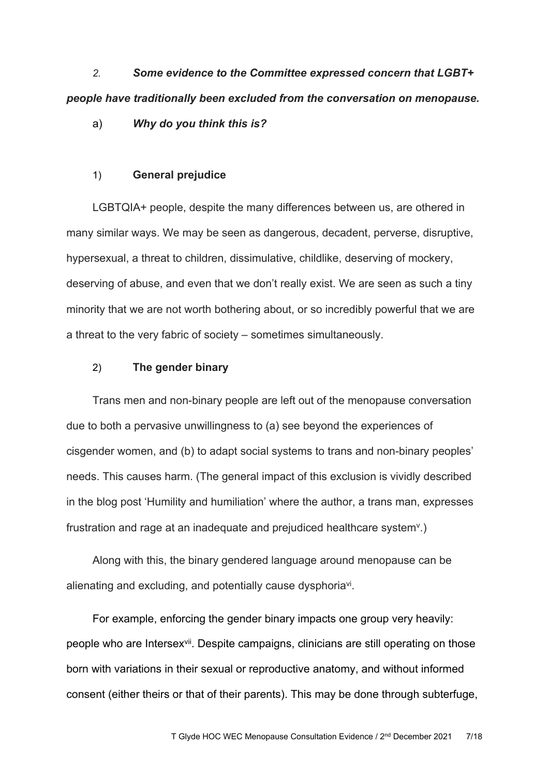*2. Some evidence to the Committee expressed concern that LGBT+ people have traditionally been excluded from the conversation on menopause.*

a) *Why do you think this is?*

### 1) **General prejudice**

LGBTQIA+ people, despite the many differences between us, are othered in many similar ways. We may be seen as dangerous, decadent, perverse, disruptive, hypersexual, a threat to children, dissimulative, childlike, deserving of mockery, deserving of abuse, and even that we don't really exist. We are seen as such a tiny minority that we are not worth bothering about, or so incredibly powerful that we are a threat to the very fabric of society – sometimes simultaneously.

### 2) **The gender binary**

Trans men and non-binary people are left out of the menopause conversation due to both a pervasive unwillingness to (a) see beyond the experiences of cisgender women, and (b) to adapt social systems to trans and non-binary peoples' needs. This causes harm. (The general impact of this exclusion is vividly described in the blog post 'Humility and humiliation' where the author, a trans man, expresses frustration and rage at an inadequate and prejudiced healthcare system<sup>v</sup>.)

Along with this, the binary gendered language around menopause can be alienating and excluding, and potentially cause dysphoriavi.

For example, enforcing the gender binary impacts one group very heavily: people who are Intersex<sup>vii</sup>. Despite campaigns, clinicians are still operating on those born with variations in their sexual or reproductive anatomy, and without informed consent (either theirs or that of their parents). This may be done through subterfuge,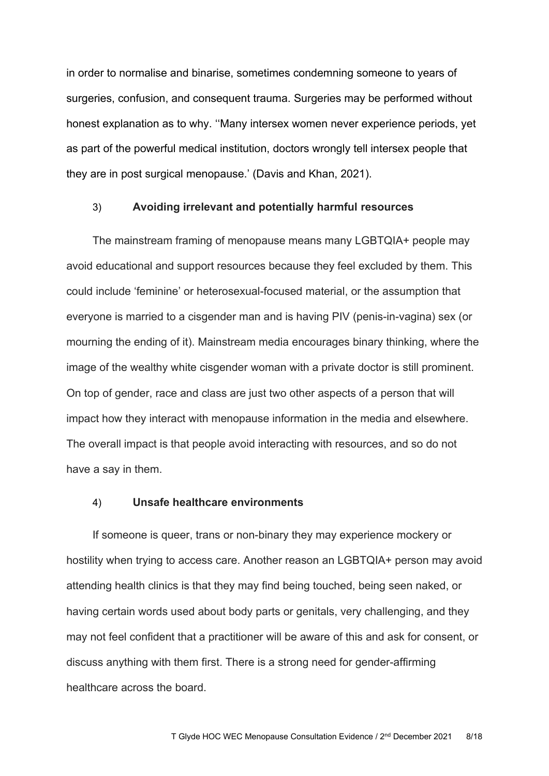in order to normalise and binarise, sometimes condemning someone to years of surgeries, confusion, and consequent trauma. Surgeries may be performed without honest explanation as to why. ''Many intersex women never experience periods, yet as part of the powerful medical institution, doctors wrongly tell intersex people that they are in post surgical menopause.' (Davis and Khan, 2021).

## 3) **Avoiding irrelevant and potentially harmful resources**

The mainstream framing of menopause means many LGBTQIA+ people may avoid educational and support resources because they feel excluded by them. This could include 'feminine' or heterosexual-focused material, or the assumption that everyone is married to a cisgender man and is having PIV (penis-in-vagina) sex (or mourning the ending of it). Mainstream media encourages binary thinking, where the image of the wealthy white cisgender woman with a private doctor is still prominent. On top of gender, race and class are just two other aspects of a person that will impact how they interact with menopause information in the media and elsewhere. The overall impact is that people avoid interacting with resources, and so do not have a say in them.

## 4) **Unsafe healthcare environments**

If someone is queer, trans or non-binary they may experience mockery or hostility when trying to access care. Another reason an LGBTQIA+ person may avoid attending health clinics is that they may find being touched, being seen naked, or having certain words used about body parts or genitals, very challenging, and they may not feel confident that a practitioner will be aware of this and ask for consent, or discuss anything with them first. There is a strong need for gender-affirming healthcare across the board.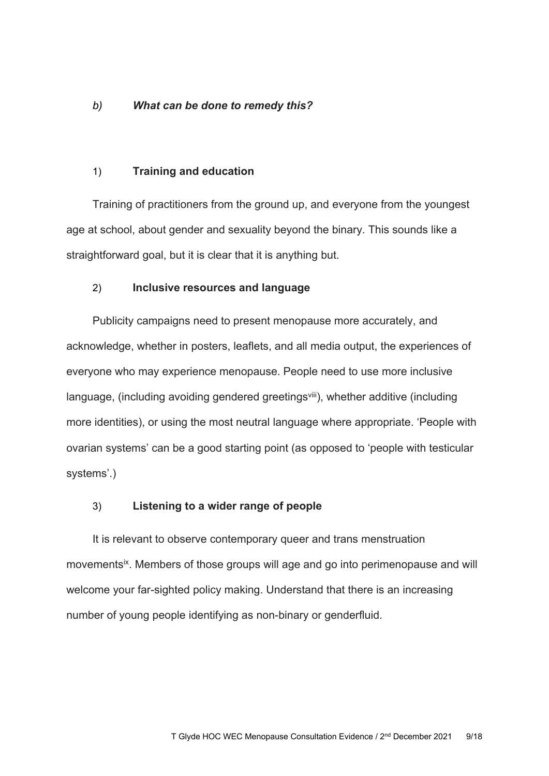## *b) What can be done to remedy this?*

### 1) **Training and education**

Training of practitioners from the ground up, and everyone from the youngest age at school, about gender and sexuality beyond the binary. This sounds like a straightforward goal, but it is clear that it is anything but.

### 2) **Inclusive resources and language**

Publicity campaigns need to present menopause more accurately, and acknowledge, whether in posters, leaflets, and all media output, the experiences of everyone who may experience menopause. People need to use more inclusive language, (including avoiding gendered greetings<sup>viii</sup>), whether additive (including more identities), or using the most neutral language where appropriate. 'People with ovarian systems' can be a good starting point (as opposed to 'people with testicular systems'.)

### 3) **Listening to a wider range of people**

It is relevant to observe contemporary queer and trans menstruation movements<sup>ix</sup>. Members of those groups will age and go into perimenopause and will welcome your far-sighted policy making. Understand that there is an increasing number of young people identifying as non-binary or genderfluid.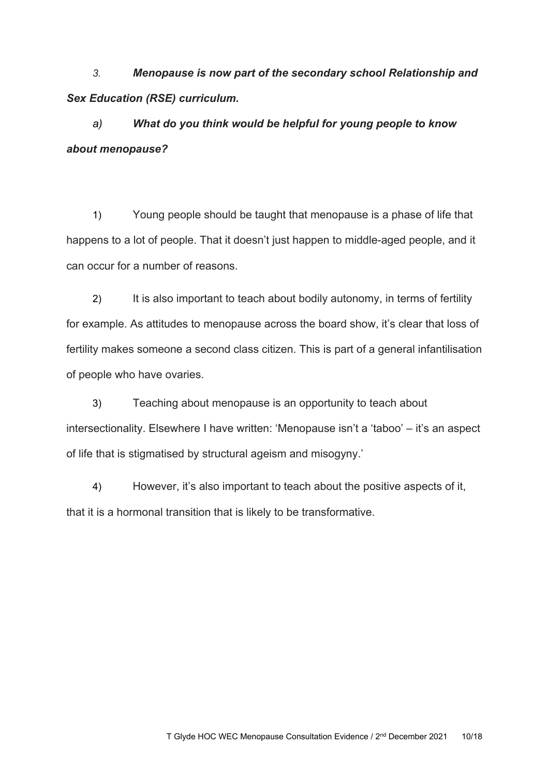*3. Menopause is now part of the secondary school Relationship and Sex Education (RSE) curriculum.*

*a) What do you think would be helpful for young people to know about menopause?*

1) Young people should be taught that menopause is a phase of life that happens to a lot of people. That it doesn't just happen to middle-aged people, and it can occur for a number of reasons.

2) It is also important to teach about bodily autonomy, in terms of fertility for example. As attitudes to menopause across the board show, it's clear that loss of fertility makes someone a second class citizen. This is part of a general infantilisation of people who have ovaries.

3) Teaching about menopause is an opportunity to teach about intersectionality. Elsewhere I have written: 'Menopause isn't a 'taboo' – it's an aspect of life that is stigmatised by structural ageism and misogyny.'

4) However, it's also important to teach about the positive aspects of it, that it is a hormonal transition that is likely to be transformative.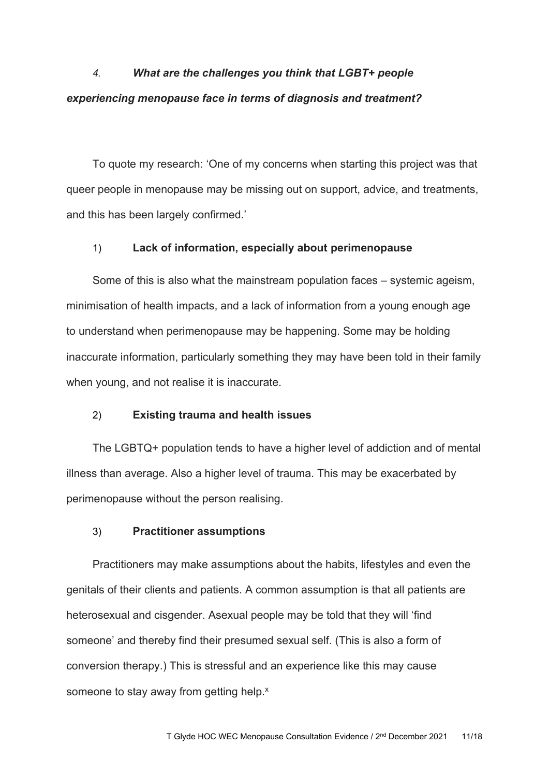# *4. What are the challenges you think that LGBT+ people experiencing menopause face in terms of diagnosis and treatment?*

To quote my research: 'One of my concerns when starting this project was that queer people in menopause may be missing out on support, advice, and treatments, and this has been largely confirmed.'

## 1) **Lack of information, especially about perimenopause**

Some of this is also what the mainstream population faces – systemic ageism, minimisation of health impacts, and a lack of information from a young enough age to understand when perimenopause may be happening. Some may be holding inaccurate information, particularly something they may have been told in their family when young, and not realise it is inaccurate.

### 2) **Existing trauma and health issues**

The LGBTQ+ population tends to have a higher level of addiction and of mental illness than average. Also a higher level of trauma. This may be exacerbated by perimenopause without the person realising.

### 3) **Practitioner assumptions**

Practitioners may make assumptions about the habits, lifestyles and even the genitals of their clients and patients. A common assumption is that all patients are heterosexual and cisgender. Asexual people may be told that they will 'find someone' and thereby find their presumed sexual self. (This is also a form of conversion therapy.) This is stressful and an experience like this may cause someone to stay away from getting help.<sup>x</sup>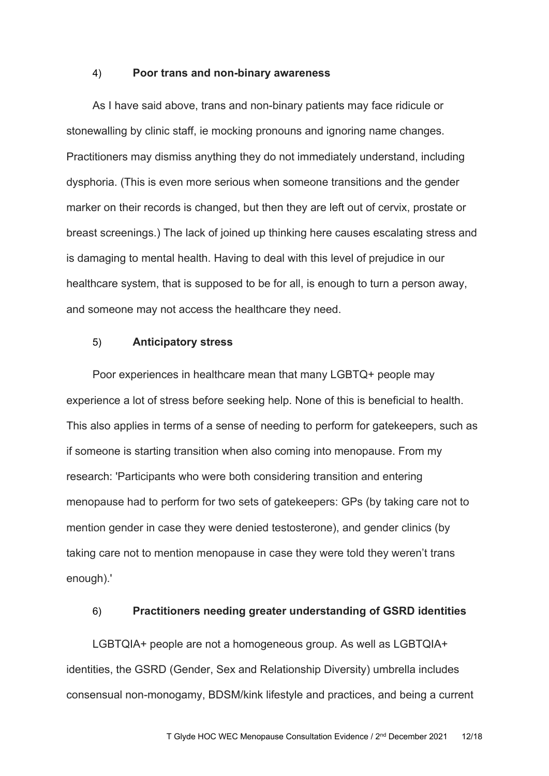### 4) **Poor trans and non-binary awareness**

As I have said above, trans and non-binary patients may face ridicule or stonewalling by clinic staff, ie mocking pronouns and ignoring name changes. Practitioners may dismiss anything they do not immediately understand, including dysphoria. (This is even more serious when someone transitions and the gender marker on their records is changed, but then they are left out of cervix, prostate or breast screenings.) The lack of joined up thinking here causes escalating stress and is damaging to mental health. Having to deal with this level of prejudice in our healthcare system, that is supposed to be for all, is enough to turn a person away, and someone may not access the healthcare they need.

### 5) **Anticipatory stress**

Poor experiences in healthcare mean that many LGBTQ+ people may experience a lot of stress before seeking help. None of this is beneficial to health. This also applies in terms of a sense of needing to perform for gatekeepers, such as if someone is starting transition when also coming into menopause. From my research: 'Participants who were both considering transition and entering menopause had to perform for two sets of gatekeepers: GPs (by taking care not to mention gender in case they were denied testosterone), and gender clinics (by taking care not to mention menopause in case they were told they weren't trans enough).'

### 6) **Practitioners needing greater understanding of GSRD identities**

LGBTQIA+ people are not a homogeneous group. As well as LGBTQIA+ identities, the GSRD (Gender, Sex and Relationship Diversity) umbrella includes consensual non-monogamy, BDSM/kink lifestyle and practices, and being a current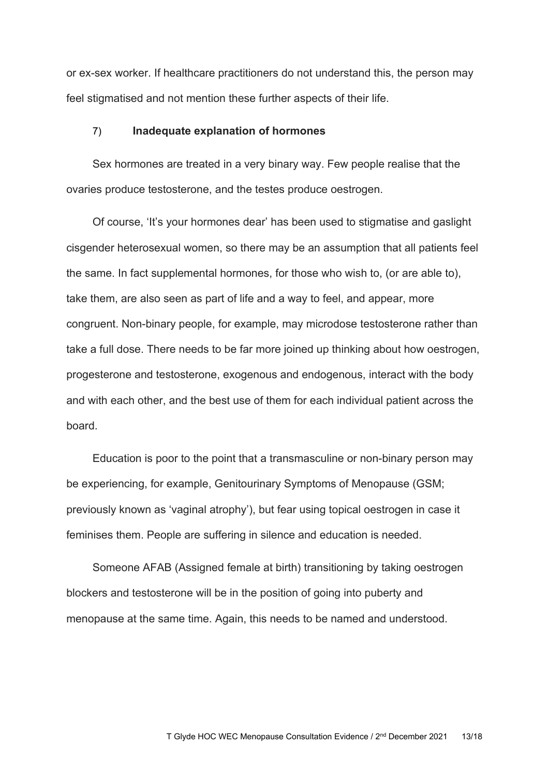or ex-sex worker. If healthcare practitioners do not understand this, the person may feel stigmatised and not mention these further aspects of their life.

### 7) **Inadequate explanation of hormones**

Sex hormones are treated in a very binary way. Few people realise that the ovaries produce testosterone, and the testes produce oestrogen.

Of course, 'It's your hormones dear' has been used to stigmatise and gaslight cisgender heterosexual women, so there may be an assumption that all patients feel the same. In fact supplemental hormones, for those who wish to, (or are able to), take them, are also seen as part of life and a way to feel, and appear, more congruent. Non-binary people, for example, may microdose testosterone rather than take a full dose. There needs to be far more joined up thinking about how oestrogen, progesterone and testosterone, exogenous and endogenous, interact with the body and with each other, and the best use of them for each individual patient across the board.

Education is poor to the point that a transmasculine or non-binary person may be experiencing, for example, Genitourinary Symptoms of Menopause (GSM; previously known as 'vaginal atrophy'), but fear using topical oestrogen in case it feminises them. People are suffering in silence and education is needed.

Someone AFAB (Assigned female at birth) transitioning by taking oestrogen blockers and testosterone will be in the position of going into puberty and menopause at the same time. Again, this needs to be named and understood.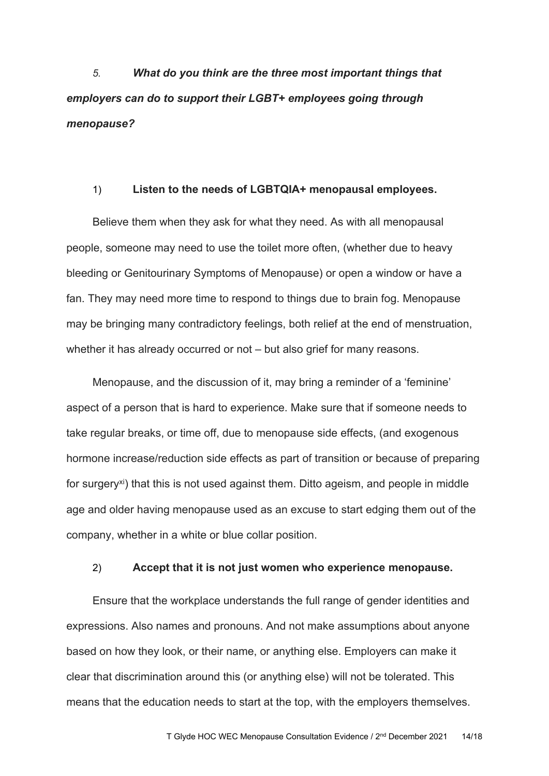*5. What do you think are the three most important things that employers can do to support their LGBT+ employees going through menopause?*

### 1) **Listen to the needs of LGBTQIA+ menopausal employees.**

Believe them when they ask for what they need. As with all menopausal people, someone may need to use the toilet more often, (whether due to heavy bleeding or Genitourinary Symptoms of Menopause) or open a window or have a fan. They may need more time to respond to things due to brain fog. Menopause may be bringing many contradictory feelings, both relief at the end of menstruation, whether it has already occurred or not – but also grief for many reasons.

Menopause, and the discussion of it, may bring a reminder of a 'feminine' aspect of a person that is hard to experience. Make sure that if someone needs to take regular breaks, or time off, due to menopause side effects, (and exogenous hormone increase/reduction side effects as part of transition or because of preparing for surgeryxi) that this is not used against them. Ditto ageism, and people in middle age and older having menopause used as an excuse to start edging them out of the company, whether in a white or blue collar position.

### 2) **Accept that it is not just women who experience menopause.**

Ensure that the workplace understands the full range of gender identities and expressions. Also names and pronouns. And not make assumptions about anyone based on how they look, or their name, or anything else. Employers can make it clear that discrimination around this (or anything else) will not be tolerated. This means that the education needs to start at the top, with the employers themselves.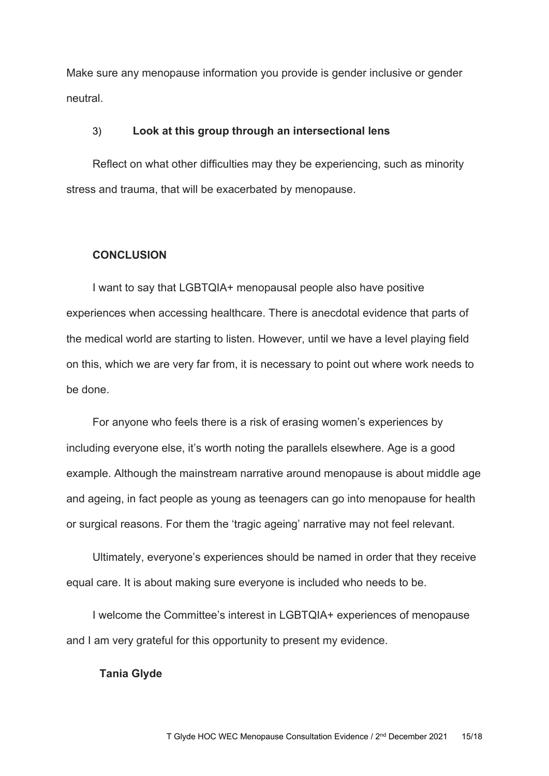Make sure any menopause information you provide is gender inclusive or gender neutral.

### 3) **Look at this group through an intersectional lens**

Reflect on what other difficulties may they be experiencing, such as minority stress and trauma, that will be exacerbated by menopause.

### **CONCLUSION**

I want to say that LGBTQIA+ menopausal people also have positive experiences when accessing healthcare. There is anecdotal evidence that parts of the medical world are starting to listen. However, until we have a level playing field on this, which we are very far from, it is necessary to point out where work needs to be done.

For anyone who feels there is a risk of erasing women's experiences by including everyone else, it's worth noting the parallels elsewhere. Age is a good example. Although the mainstream narrative around menopause is about middle age and ageing, in fact people as young as teenagers can go into menopause for health or surgical reasons. For them the 'tragic ageing' narrative may not feel relevant.

Ultimately, everyone's experiences should be named in order that they receive equal care. It is about making sure everyone is included who needs to be.

I welcome the Committee's interest in LGBTQIA+ experiences of menopause and I am very grateful for this opportunity to present my evidence.

### **Tania Glyde**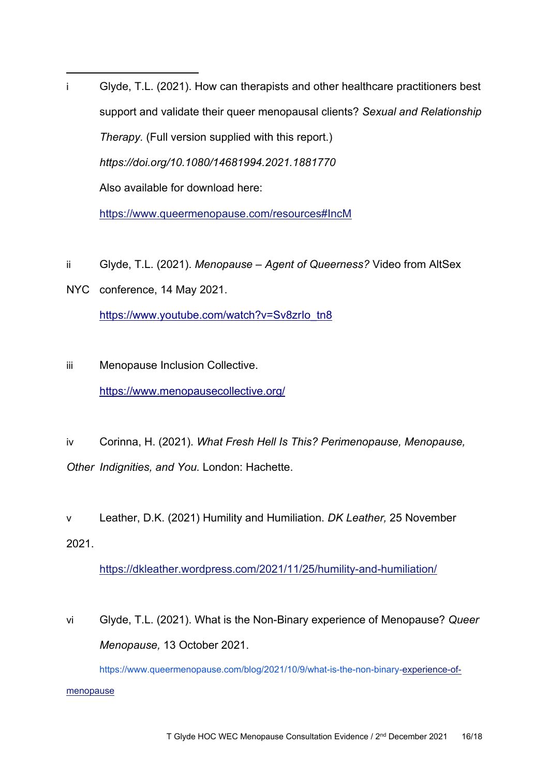i Glyde, T.L. (2021). How can therapists and other healthcare practitioners best support and validate their queer menopausal clients? *Sexual and Relationship Therapy.* (Full version supplied with this report.) *<https://doi.org/10.1080/14681994.2021.1881770>* Also available for download here:

<https://www.queermenopause.com/resources#IncM>

- ii Glyde, T.L. (2021). *Menopause – Agent of Queerness?* Video from AltSex
- NYC conference, 14 May 2021. https://www.youtube.com/watch?v=Sv8zrlo\_tn8
- iii Menopause Inclusion Collective. <https://www.menopausecollective.org/>

iv Corinna, H. (2021). *What Fresh Hell Is This? Perimenopause, Menopause, Other Indignities, and You.* London: Hachette.

v Leather, D.K. (2021) Humility and Humiliation. *DK Leather,* 25 November 2021.

<https://dkleather.wordpress.com/2021/11/25/humility-and-humiliation/>

vi Glyde, T.L. (2021). What is the Non-Binary experience of Menopause? *Queer Menopause,* 13 October 2021.

[https://www.queermenopause.com/blog/2021/10/9/what-is-the-non-binary](https://www.queermenopause.com/blog/2021/10/9/what-is-the-non-binary-)-[experience-of](https://www.queermenopause.com/blog/2021/10/9/what-is-the-non-binary-experience-of-menopause)[menopause](https://www.queermenopause.com/blog/2021/10/9/what-is-the-non-binary-experience-of-menopause)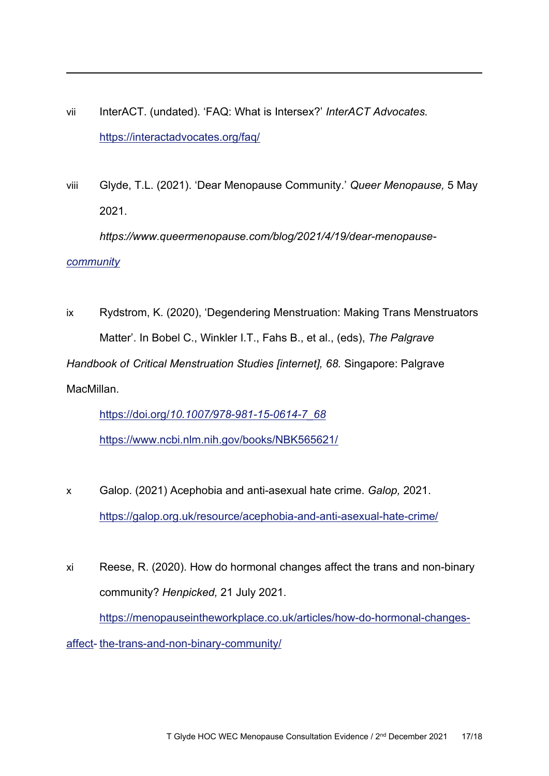- vii InterACT. (undated). 'FAQ: What is Intersex?' *InterACT Advocates.* https://interactadvocates.org/faq/
- viii Glyde, T.L. (2021). 'Dear Menopause Community.' *Queer Menopause,* 5 May 2021.

*<https://www.queermenopause.com/blog/2021/4/19/dear-menopause->*

*[community](https://www.queermenopause.com/blog/2021/4/19/dear-menopause-community)*

ix Rydstrom, K. (2020), 'Degendering Menstruation: Making Trans Menstruators Matter'. In Bobel C., Winkler I.T., Fahs B., et al., (eds), *The Palgrave Handbook of Critical Menstruation Studies [internet], 68.* Singapore: Palgrave MacMillan.

[https://doi.org/](https://doi.org/10.1007/978-981-15-0614-7_68)*10.1007/978-981-15-0614-7\_68*

<https://www.ncbi.nlm.nih.gov/books/NBK565621/>

- x Galop. (2021) Acephobia and anti-asexual hate crime. *Galop,* 2021. <https://galop.org.uk/resource/acephobia-and-anti-asexual-hate-crime/>
- xi Reese, R. (2020). How do hormonal changes affect the trans and non-binary community? *Henpicked,* 21 July 2021. [https://menopauseintheworkplace.co.uk/articles/how-do-hormonal-changes](https://menopauseintheworkplace.co.uk/articles/how-do-hormonal-changes-affect-the-trans-and-non-binary-community/)[affect-](https://menopauseintheworkplace.co.uk/articles/how-do-hormonal-changes-affect-the-trans-and-non-binary-community/) [the-trans-and-non-binary-community/](https://menopauseintheworkplace.co.uk/articles/how-do-hormonal-changes-affect-the-trans-and-non-binary-community/)